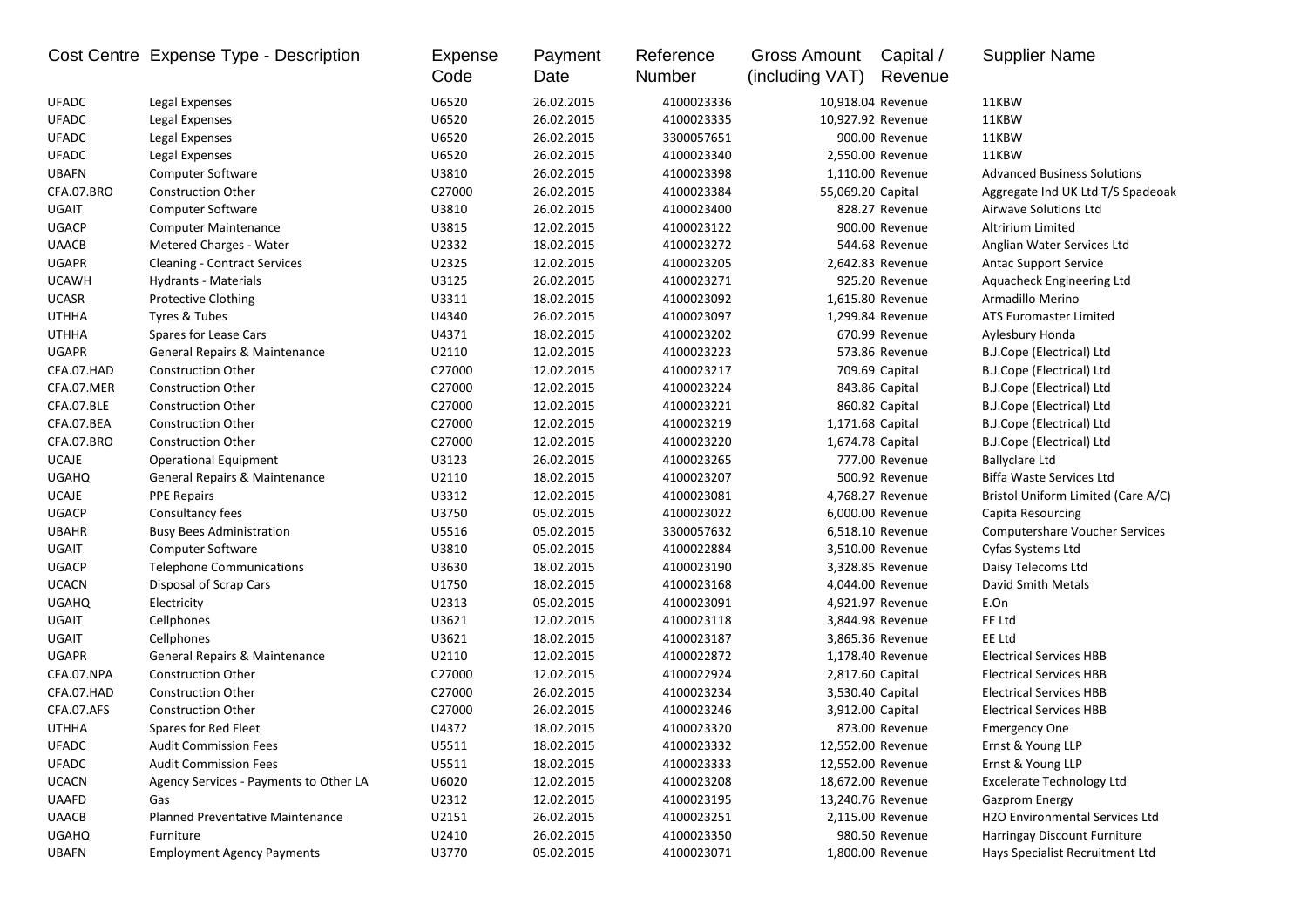|              | Cost Centre Expense Type - Description | <b>Expense</b><br>Code | Payment<br>Date | Reference<br>Number | Gross Amount<br>(including VAT) | Capital /<br>Revenue | <b>Supplier Name</b>                  |
|--------------|----------------------------------------|------------------------|-----------------|---------------------|---------------------------------|----------------------|---------------------------------------|
| <b>UFADC</b> | Legal Expenses                         | U6520                  | 26.02.2015      | 4100023336          |                                 | 10,918.04 Revenue    | 11KBW                                 |
| <b>UFADC</b> | Legal Expenses                         | U6520                  | 26.02.2015      | 4100023335          |                                 | 10,927.92 Revenue    | 11KBW                                 |
| <b>UFADC</b> | Legal Expenses                         | U6520                  | 26.02.2015      | 3300057651          |                                 | 900.00 Revenue       | 11KBW                                 |
| <b>UFADC</b> | Legal Expenses                         | U6520                  | 26.02.2015      | 4100023340          |                                 | 2,550.00 Revenue     | 11KBW                                 |
| <b>UBAFN</b> | <b>Computer Software</b>               | U3810                  | 26.02.2015      | 4100023398          |                                 | 1,110.00 Revenue     | <b>Advanced Business Solutions</b>    |
| CFA.07.BRO   | <b>Construction Other</b>              | C27000                 | 26.02.2015      | 4100023384          | 55,069.20 Capital               |                      | Aggregate Ind UK Ltd T/S Spadeoak     |
| UGAIT        | <b>Computer Software</b>               | U3810                  | 26.02.2015      | 4100023400          |                                 | 828.27 Revenue       | Airwave Solutions Ltd                 |
| <b>UGACP</b> | <b>Computer Maintenance</b>            | U3815                  | 12.02.2015      | 4100023122          |                                 | 900.00 Revenue       | Altririum Limited                     |
| <b>UAACB</b> | Metered Charges - Water                | U2332                  | 18.02.2015      | 4100023272          |                                 | 544.68 Revenue       | Anglian Water Services Ltd            |
| <b>UGAPR</b> | <b>Cleaning - Contract Services</b>    | U2325                  | 12.02.2015      | 4100023205          |                                 | 2,642.83 Revenue     | <b>Antac Support Service</b>          |
| <b>UCAWH</b> | Hydrants - Materials                   | U3125                  | 26.02.2015      | 4100023271          |                                 | 925.20 Revenue       | Aquacheck Engineering Ltd             |
| <b>UCASR</b> | <b>Protective Clothing</b>             | U3311                  | 18.02.2015      | 4100023092          |                                 | 1,615.80 Revenue     | Armadillo Merino                      |
| <b>UTHHA</b> | Tyres & Tubes                          | U4340                  | 26.02.2015      | 4100023097          |                                 | 1,299.84 Revenue     | <b>ATS Euromaster Limited</b>         |
| <b>UTHHA</b> | Spares for Lease Cars                  | U4371                  | 18.02.2015      | 4100023202          |                                 | 670.99 Revenue       | Aylesbury Honda                       |
| <b>UGAPR</b> | General Repairs & Maintenance          | U2110                  | 12.02.2015      | 4100023223          |                                 | 573.86 Revenue       | B.J.Cope (Electrical) Ltd             |
| CFA.07.HAD   | <b>Construction Other</b>              | C27000                 | 12.02.2015      | 4100023217          |                                 | 709.69 Capital       | B.J.Cope (Electrical) Ltd             |
| CFA.07.MER   | <b>Construction Other</b>              | C27000                 | 12.02.2015      | 4100023224          |                                 | 843.86 Capital       | B.J.Cope (Electrical) Ltd             |
| CFA.07.BLE   | <b>Construction Other</b>              | C27000                 | 12.02.2015      | 4100023221          |                                 | 860.82 Capital       | B.J.Cope (Electrical) Ltd             |
| CFA.07.BEA   | <b>Construction Other</b>              | C27000                 | 12.02.2015      | 4100023219          | 1,171.68 Capital                |                      | B.J.Cope (Electrical) Ltd             |
| CFA.07.BRO   | <b>Construction Other</b>              | C27000                 | 12.02.2015      | 4100023220          | 1,674.78 Capital                |                      | B.J.Cope (Electrical) Ltd             |
| <b>UCAJE</b> | <b>Operational Equipment</b>           | U3123                  | 26.02.2015      | 4100023265          |                                 | 777.00 Revenue       | <b>Ballyclare Ltd</b>                 |
| <b>UGAHQ</b> | General Repairs & Maintenance          | U2110                  | 18.02.2015      | 4100023207          |                                 | 500.92 Revenue       | Biffa Waste Services Ltd              |
| UCAJE        | <b>PPE Repairs</b>                     | U3312                  | 12.02.2015      | 4100023081          |                                 | 4,768.27 Revenue     | Bristol Uniform Limited (Care A/C)    |
| <b>UGACP</b> | Consultancy fees                       | U3750                  | 05.02.2015      | 4100023022          |                                 | 6,000.00 Revenue     | Capita Resourcing                     |
| <b>UBAHR</b> | <b>Busy Bees Administration</b>        | U5516                  | 05.02.2015      | 3300057632          |                                 | 6,518.10 Revenue     | <b>Computershare Voucher Services</b> |
| UGAIT        | <b>Computer Software</b>               | U3810                  | 05.02.2015      | 4100022884          |                                 | 3,510.00 Revenue     | Cyfas Systems Ltd                     |
| <b>UGACP</b> | <b>Telephone Communications</b>        | U3630                  | 18.02.2015      | 4100023190          |                                 | 3,328.85 Revenue     | Daisy Telecoms Ltd                    |
| <b>UCACN</b> | Disposal of Scrap Cars                 | U1750                  | 18.02.2015      | 4100023168          |                                 | 4,044.00 Revenue     | David Smith Metals                    |
| <b>UGAHQ</b> | Electricity                            | U2313                  | 05.02.2015      | 4100023091          |                                 | 4,921.97 Revenue     | E.On                                  |
| UGAIT        | Cellphones                             | U3621                  | 12.02.2015      | 4100023118          |                                 | 3,844.98 Revenue     | EE Ltd                                |
| UGAIT        | Cellphones                             | U3621                  | 18.02.2015      | 4100023187          |                                 | 3,865.36 Revenue     | EE Ltd                                |
| UGAPR        | General Repairs & Maintenance          | U2110                  | 12.02.2015      | 4100022872          |                                 | 1,178.40 Revenue     | <b>Electrical Services HBB</b>        |
| CFA.07.NPA   | <b>Construction Other</b>              | C27000                 | 12.02.2015      | 4100022924          | 2,817.60 Capital                |                      | <b>Electrical Services HBB</b>        |
| CFA.07.HAD   | <b>Construction Other</b>              | C27000                 | 26.02.2015      | 4100023234          | 3,530.40 Capital                |                      | <b>Electrical Services HBB</b>        |
| CFA.07.AFS   | <b>Construction Other</b>              | C27000                 | 26.02.2015      | 4100023246          |                                 | 3,912.00 Capital     | <b>Electrical Services HBB</b>        |
| <b>UTHHA</b> | Spares for Red Fleet                   | U4372                  | 18.02.2015      | 4100023320          |                                 | 873.00 Revenue       | <b>Emergency One</b>                  |
| <b>UFADC</b> | <b>Audit Commission Fees</b>           | U5511                  | 18.02.2015      | 4100023332          |                                 | 12,552.00 Revenue    | Ernst & Young LLP                     |
| UFADC        | <b>Audit Commission Fees</b>           | U5511                  | 18.02.2015      | 4100023333          |                                 | 12,552.00 Revenue    | Ernst & Young LLP                     |
| <b>UCACN</b> | Agency Services - Payments to Other LA | U6020                  | 12.02.2015      | 4100023208          |                                 | 18,672.00 Revenue    | <b>Excelerate Technology Ltd</b>      |
| <b>UAAFD</b> | Gas                                    | U2312                  | 12.02.2015      | 4100023195          |                                 | 13,240.76 Revenue    | <b>Gazprom Energy</b>                 |
| <b>UAACB</b> | Planned Preventative Maintenance       | U2151                  | 26.02.2015      | 4100023251          |                                 | 2,115.00 Revenue     | H2O Environmental Services Ltd        |
| <b>UGAHQ</b> | Furniture                              | U2410                  | 26.02.2015      | 4100023350          |                                 | 980.50 Revenue       | Harringay Discount Furniture          |
| <b>UBAFN</b> | <b>Employment Agency Payments</b>      | U3770                  | 05.02.2015      | 4100023071          |                                 | 1,800.00 Revenue     | Hays Specialist Recruitment Ltd       |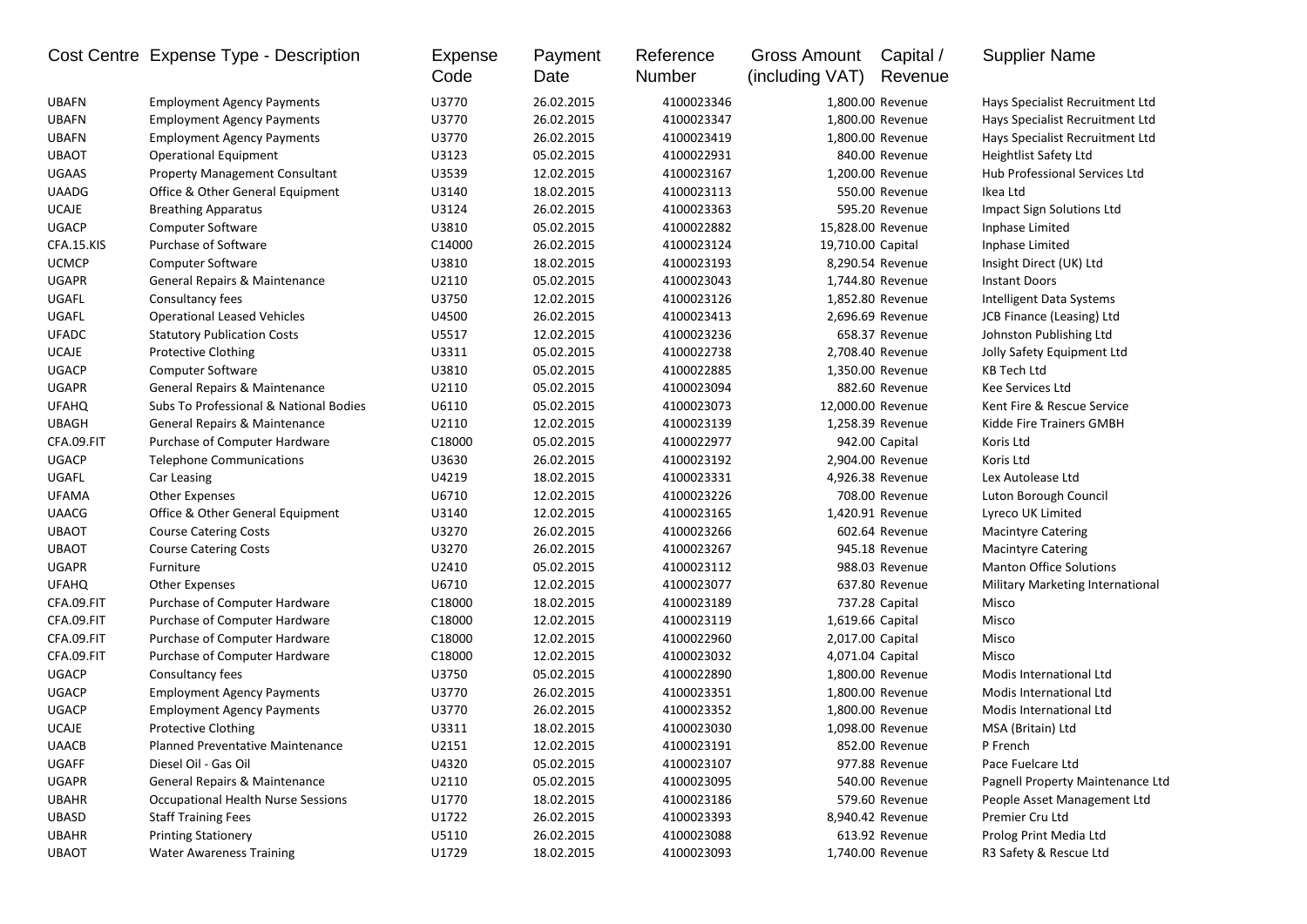| U3770<br><b>UBAFN</b><br>26.02.2015<br>4100023346<br>1,800.00 Revenue<br><b>Employment Agency Payments</b><br>Hays Specialist Recruitment Ltd<br><b>UBAFN</b><br><b>Employment Agency Payments</b><br>U3770<br>26.02.2015<br>4100023347<br>1.800.00 Revenue<br>Hays Specialist Recruitment Ltd<br><b>UBAFN</b><br><b>Employment Agency Payments</b><br>U3770<br>26.02.2015<br>4100023419<br>1,800.00 Revenue<br>Hays Specialist Recruitment Ltd<br><b>UBAOT</b><br>U3123<br>05.02.2015<br>4100022931<br>840.00 Revenue<br><b>Heightlist Safety Ltd</b><br><b>Operational Equipment</b><br>UGAAS<br>U3539<br>12.02.2015<br>4100023167<br>Hub Professional Services Ltd<br><b>Property Management Consultant</b><br>1,200.00 Revenue<br><b>UAADG</b><br>18.02.2015<br>Ikea Ltd<br>Office & Other General Equipment<br>U3140<br>4100023113<br>550.00 Revenue<br><b>UCAJE</b><br>U3124<br>26.02.2015<br>4100023363<br>595.20 Revenue<br><b>Breathing Apparatus</b><br>Impact Sign Solutions Ltd<br><b>UGACP</b><br>Computer Software<br>U3810<br>05.02.2015<br>4100022882<br>15,828.00 Revenue<br>Inphase Limited<br>Purchase of Software<br>CFA.15.KIS<br>C14000<br>19,710.00 Capital<br>26.02.2015<br>4100023124<br>Inphase Limited<br><b>UCMCP</b><br><b>Computer Software</b><br>U3810<br>18.02.2015<br>8,290.54 Revenue<br>4100023193<br>Insight Direct (UK) Ltd<br><b>UGAPR</b><br>General Repairs & Maintenance<br>U2110<br>05.02.2015<br>1,744.80 Revenue<br>4100023043<br><b>Instant Doors</b><br>UGAFL<br>U3750<br>1,852.80 Revenue<br>Consultancy fees<br>12.02.2015<br>4100023126<br>Intelligent Data Systems<br>UGAFL<br><b>Operational Leased Vehicles</b><br>U4500<br>26.02.2015<br>2,696.69 Revenue<br>4100023413<br>JCB Finance (Leasing) Ltd<br><b>UFADC</b><br><b>Statutory Publication Costs</b><br>U5517<br>12.02.2015<br>4100023236<br>658.37 Revenue<br>Johnston Publishing Ltd<br><b>UCAJE</b><br><b>Protective Clothing</b><br>U3311<br>05.02.2015<br>4100022738<br>2,708.40 Revenue<br>Jolly Safety Equipment Ltd<br><b>UGACP</b><br><b>Computer Software</b><br>U3810<br>05.02.2015<br>4100022885<br>1,350.00 Revenue<br>KB Tech Ltd<br><b>UGAPR</b><br>General Repairs & Maintenance<br>U2110<br>05.02.2015<br>4100023094<br>882.60 Revenue<br>Kee Services Ltd<br><b>UFAHQ</b><br>Subs To Professional & National Bodies<br>U6110<br>05.02.2015<br>4100023073<br>12,000.00 Revenue<br>Kent Fire & Rescue Service<br>U2110<br>12.02.2015<br>4100023139<br><b>UBAGH</b><br><b>General Repairs &amp; Maintenance</b><br>1,258.39 Revenue<br>Kidde Fire Trainers GMBH<br>CFA.09.FIT<br>C18000<br>05.02.2015<br>4100022977<br>942.00 Capital<br>Purchase of Computer Hardware<br>Koris Ltd<br><b>UGACP</b><br><b>Telephone Communications</b><br>U3630<br>26.02.2015<br>2,904.00 Revenue<br>Koris Ltd<br>4100023192<br>UGAFL<br>U4219<br>18.02.2015<br>4100023331<br>4,926.38 Revenue<br>Car Leasing<br>Lex Autolease Ltd<br><b>UFAMA</b><br>U6710<br>12.02.2015<br>4100023226<br>708.00 Revenue<br><b>Other Expenses</b><br>Luton Borough Council<br><b>UAACG</b><br>U3140<br>12.02.2015<br>4100023165<br>1,420.91 Revenue<br>Lyreco UK Limited<br>Office & Other General Equipment<br>U3270<br>26.02.2015<br>4100023266<br>602.64 Revenue<br><b>UBAOT</b><br><b>Course Catering Costs</b><br><b>Macintyre Catering</b><br><b>UBAOT</b><br><b>Course Catering Costs</b><br>U3270<br>26.02.2015<br>4100023267<br>945.18 Revenue<br><b>Macintyre Catering</b><br><b>Manton Office Solutions</b><br><b>UGAPR</b><br>Furniture<br>U2410<br>05.02.2015<br>4100023112<br>988.03 Revenue<br><b>UFAHQ</b><br>U6710<br>12.02.2015<br>4100023077<br>637.80 Revenue<br>Other Expenses<br>Military Marketing International<br>CFA.09.FIT<br>Purchase of Computer Hardware<br>C18000<br>18.02.2015<br>4100023189<br>737.28 Capital<br>Misco<br>CFA.09.FIT<br>Purchase of Computer Hardware<br>C18000<br>12.02.2015<br>4100023119<br>1,619.66 Capital<br>Misco<br>CFA.09.FIT<br>C18000<br>Purchase of Computer Hardware<br>12.02.2015<br>4100022960<br>2,017.00 Capital<br>Misco<br>CFA.09.FIT<br>Purchase of Computer Hardware<br>C18000<br>12.02.2015<br>4100023032<br>4,071.04 Capital<br>Misco<br><b>UGACP</b><br>U3750<br>1,800.00 Revenue<br>Consultancy fees<br>05.02.2015<br>4100022890<br>Modis International Ltd<br><b>UGACP</b><br><b>Employment Agency Payments</b><br>U3770<br>26.02.2015<br>4100023351<br>1,800.00 Revenue<br>Modis International Ltd<br><b>UGACP</b><br>U3770<br>1,800.00 Revenue<br><b>Employment Agency Payments</b><br>26.02.2015<br>4100023352<br>Modis International Ltd<br><b>UCAJE</b><br><b>Protective Clothing</b><br>U3311<br>18.02.2015<br>4100023030<br>1,098.00 Revenue<br>MSA (Britain) Ltd<br><b>UAACB</b><br>Planned Preventative Maintenance<br>U2151<br>12.02.2015<br>4100023191<br>852.00 Revenue<br>P French<br>UGAFF<br>Diesel Oil - Gas Oil<br>U4320<br>05.02.2015<br>4100023107<br>977.88 Revenue<br>Pace Fuelcare Ltd<br>UGAPR<br>General Repairs & Maintenance<br>U2110<br>05.02.2015<br>4100023095<br>540.00 Revenue<br>Pagnell Property Maintenance Ltd<br><b>UBAHR</b><br>Occupational Health Nurse Sessions<br>U1770<br>18.02.2015<br>4100023186<br>579.60 Revenue<br>People Asset Management Ltd<br>UBASD<br><b>Staff Training Fees</b><br>U1722<br>26.02.2015<br>4100023393<br>8,940.42 Revenue<br>Premier Cru Ltd<br><b>UBAHR</b><br><b>Printing Stationery</b><br>U5110<br>26.02.2015<br>4100023088<br>613.92 Revenue<br>Prolog Print Media Ltd<br>1,740.00 Revenue |              | Cost Centre Expense Type - Description | Expense<br>Code | Payment<br>Date | Reference<br>Number | <b>Gross Amount</b><br>(including VAT) | Capital /<br>Revenue | <b>Supplier Name</b>   |
|--------------------------------------------------------------------------------------------------------------------------------------------------------------------------------------------------------------------------------------------------------------------------------------------------------------------------------------------------------------------------------------------------------------------------------------------------------------------------------------------------------------------------------------------------------------------------------------------------------------------------------------------------------------------------------------------------------------------------------------------------------------------------------------------------------------------------------------------------------------------------------------------------------------------------------------------------------------------------------------------------------------------------------------------------------------------------------------------------------------------------------------------------------------------------------------------------------------------------------------------------------------------------------------------------------------------------------------------------------------------------------------------------------------------------------------------------------------------------------------------------------------------------------------------------------------------------------------------------------------------------------------------------------------------------------------------------------------------------------------------------------------------------------------------------------------------------------------------------------------------------------------------------------------------------------------------------------------------------------------------------------------------------------------------------------------------------------------------------------------------------------------------------------------------------------------------------------------------------------------------------------------------------------------------------------------------------------------------------------------------------------------------------------------------------------------------------------------------------------------------------------------------------------------------------------------------------------------------------------------------------------------------------------------------------------------------------------------------------------------------------------------------------------------------------------------------------------------------------------------------------------------------------------------------------------------------------------------------------------------------------------------------------------------------------------------------------------------------------------------------------------------------------------------------------------------------------------------------------------------------------------------------------------------------------------------------------------------------------------------------------------------------------------------------------------------------------------------------------------------------------------------------------------------------------------------------------------------------------------------------------------------------------------------------------------------------------------------------------------------------------------------------------------------------------------------------------------------------------------------------------------------------------------------------------------------------------------------------------------------------------------------------------------------------------------------------------------------------------------------------------------------------------------------------------------------------------------------------------------------------------------------------------------------------------------------------------------------------------------------------------------------------------------------------------------------------------------------------------------------------------------------------------------------------------------------------------------------------------------------------------------------------------------------------------------------------------------------------------------------------------------------------------------------------------------------------------------------------------------------------------------------------------------------------------------------------------------------------------------------------------------------------------------------------------------------------------------------------------------------------------------------------------------------------------------------------------------------------------------------------------------------------------------------------------------------------------------------------------------------------------------------------------------------------------------------------------------------------------------------------------------------------------------------------|--------------|----------------------------------------|-----------------|-----------------|---------------------|----------------------------------------|----------------------|------------------------|
|                                                                                                                                                                                                                                                                                                                                                                                                                                                                                                                                                                                                                                                                                                                                                                                                                                                                                                                                                                                                                                                                                                                                                                                                                                                                                                                                                                                                                                                                                                                                                                                                                                                                                                                                                                                                                                                                                                                                                                                                                                                                                                                                                                                                                                                                                                                                                                                                                                                                                                                                                                                                                                                                                                                                                                                                                                                                                                                                                                                                                                                                                                                                                                                                                                                                                                                                                                                                                                                                                                                                                                                                                                                                                                                                                                                                                                                                                                                                                                                                                                                                                                                                                                                                                                                                                                                                                                                                                                                                                                                                                                                                                                                                                                                                                                                                                                                                                                                                                                                                                                                                                                                                                                                                                                                                                                                                                                                                                                                                                                                                            |              |                                        |                 |                 |                     |                                        |                      |                        |
|                                                                                                                                                                                                                                                                                                                                                                                                                                                                                                                                                                                                                                                                                                                                                                                                                                                                                                                                                                                                                                                                                                                                                                                                                                                                                                                                                                                                                                                                                                                                                                                                                                                                                                                                                                                                                                                                                                                                                                                                                                                                                                                                                                                                                                                                                                                                                                                                                                                                                                                                                                                                                                                                                                                                                                                                                                                                                                                                                                                                                                                                                                                                                                                                                                                                                                                                                                                                                                                                                                                                                                                                                                                                                                                                                                                                                                                                                                                                                                                                                                                                                                                                                                                                                                                                                                                                                                                                                                                                                                                                                                                                                                                                                                                                                                                                                                                                                                                                                                                                                                                                                                                                                                                                                                                                                                                                                                                                                                                                                                                                            |              |                                        |                 |                 |                     |                                        |                      |                        |
|                                                                                                                                                                                                                                                                                                                                                                                                                                                                                                                                                                                                                                                                                                                                                                                                                                                                                                                                                                                                                                                                                                                                                                                                                                                                                                                                                                                                                                                                                                                                                                                                                                                                                                                                                                                                                                                                                                                                                                                                                                                                                                                                                                                                                                                                                                                                                                                                                                                                                                                                                                                                                                                                                                                                                                                                                                                                                                                                                                                                                                                                                                                                                                                                                                                                                                                                                                                                                                                                                                                                                                                                                                                                                                                                                                                                                                                                                                                                                                                                                                                                                                                                                                                                                                                                                                                                                                                                                                                                                                                                                                                                                                                                                                                                                                                                                                                                                                                                                                                                                                                                                                                                                                                                                                                                                                                                                                                                                                                                                                                                            |              |                                        |                 |                 |                     |                                        |                      |                        |
|                                                                                                                                                                                                                                                                                                                                                                                                                                                                                                                                                                                                                                                                                                                                                                                                                                                                                                                                                                                                                                                                                                                                                                                                                                                                                                                                                                                                                                                                                                                                                                                                                                                                                                                                                                                                                                                                                                                                                                                                                                                                                                                                                                                                                                                                                                                                                                                                                                                                                                                                                                                                                                                                                                                                                                                                                                                                                                                                                                                                                                                                                                                                                                                                                                                                                                                                                                                                                                                                                                                                                                                                                                                                                                                                                                                                                                                                                                                                                                                                                                                                                                                                                                                                                                                                                                                                                                                                                                                                                                                                                                                                                                                                                                                                                                                                                                                                                                                                                                                                                                                                                                                                                                                                                                                                                                                                                                                                                                                                                                                                            |              |                                        |                 |                 |                     |                                        |                      |                        |
|                                                                                                                                                                                                                                                                                                                                                                                                                                                                                                                                                                                                                                                                                                                                                                                                                                                                                                                                                                                                                                                                                                                                                                                                                                                                                                                                                                                                                                                                                                                                                                                                                                                                                                                                                                                                                                                                                                                                                                                                                                                                                                                                                                                                                                                                                                                                                                                                                                                                                                                                                                                                                                                                                                                                                                                                                                                                                                                                                                                                                                                                                                                                                                                                                                                                                                                                                                                                                                                                                                                                                                                                                                                                                                                                                                                                                                                                                                                                                                                                                                                                                                                                                                                                                                                                                                                                                                                                                                                                                                                                                                                                                                                                                                                                                                                                                                                                                                                                                                                                                                                                                                                                                                                                                                                                                                                                                                                                                                                                                                                                            |              |                                        |                 |                 |                     |                                        |                      |                        |
|                                                                                                                                                                                                                                                                                                                                                                                                                                                                                                                                                                                                                                                                                                                                                                                                                                                                                                                                                                                                                                                                                                                                                                                                                                                                                                                                                                                                                                                                                                                                                                                                                                                                                                                                                                                                                                                                                                                                                                                                                                                                                                                                                                                                                                                                                                                                                                                                                                                                                                                                                                                                                                                                                                                                                                                                                                                                                                                                                                                                                                                                                                                                                                                                                                                                                                                                                                                                                                                                                                                                                                                                                                                                                                                                                                                                                                                                                                                                                                                                                                                                                                                                                                                                                                                                                                                                                                                                                                                                                                                                                                                                                                                                                                                                                                                                                                                                                                                                                                                                                                                                                                                                                                                                                                                                                                                                                                                                                                                                                                                                            |              |                                        |                 |                 |                     |                                        |                      |                        |
|                                                                                                                                                                                                                                                                                                                                                                                                                                                                                                                                                                                                                                                                                                                                                                                                                                                                                                                                                                                                                                                                                                                                                                                                                                                                                                                                                                                                                                                                                                                                                                                                                                                                                                                                                                                                                                                                                                                                                                                                                                                                                                                                                                                                                                                                                                                                                                                                                                                                                                                                                                                                                                                                                                                                                                                                                                                                                                                                                                                                                                                                                                                                                                                                                                                                                                                                                                                                                                                                                                                                                                                                                                                                                                                                                                                                                                                                                                                                                                                                                                                                                                                                                                                                                                                                                                                                                                                                                                                                                                                                                                                                                                                                                                                                                                                                                                                                                                                                                                                                                                                                                                                                                                                                                                                                                                                                                                                                                                                                                                                                            |              |                                        |                 |                 |                     |                                        |                      |                        |
|                                                                                                                                                                                                                                                                                                                                                                                                                                                                                                                                                                                                                                                                                                                                                                                                                                                                                                                                                                                                                                                                                                                                                                                                                                                                                                                                                                                                                                                                                                                                                                                                                                                                                                                                                                                                                                                                                                                                                                                                                                                                                                                                                                                                                                                                                                                                                                                                                                                                                                                                                                                                                                                                                                                                                                                                                                                                                                                                                                                                                                                                                                                                                                                                                                                                                                                                                                                                                                                                                                                                                                                                                                                                                                                                                                                                                                                                                                                                                                                                                                                                                                                                                                                                                                                                                                                                                                                                                                                                                                                                                                                                                                                                                                                                                                                                                                                                                                                                                                                                                                                                                                                                                                                                                                                                                                                                                                                                                                                                                                                                            |              |                                        |                 |                 |                     |                                        |                      |                        |
|                                                                                                                                                                                                                                                                                                                                                                                                                                                                                                                                                                                                                                                                                                                                                                                                                                                                                                                                                                                                                                                                                                                                                                                                                                                                                                                                                                                                                                                                                                                                                                                                                                                                                                                                                                                                                                                                                                                                                                                                                                                                                                                                                                                                                                                                                                                                                                                                                                                                                                                                                                                                                                                                                                                                                                                                                                                                                                                                                                                                                                                                                                                                                                                                                                                                                                                                                                                                                                                                                                                                                                                                                                                                                                                                                                                                                                                                                                                                                                                                                                                                                                                                                                                                                                                                                                                                                                                                                                                                                                                                                                                                                                                                                                                                                                                                                                                                                                                                                                                                                                                                                                                                                                                                                                                                                                                                                                                                                                                                                                                                            |              |                                        |                 |                 |                     |                                        |                      |                        |
|                                                                                                                                                                                                                                                                                                                                                                                                                                                                                                                                                                                                                                                                                                                                                                                                                                                                                                                                                                                                                                                                                                                                                                                                                                                                                                                                                                                                                                                                                                                                                                                                                                                                                                                                                                                                                                                                                                                                                                                                                                                                                                                                                                                                                                                                                                                                                                                                                                                                                                                                                                                                                                                                                                                                                                                                                                                                                                                                                                                                                                                                                                                                                                                                                                                                                                                                                                                                                                                                                                                                                                                                                                                                                                                                                                                                                                                                                                                                                                                                                                                                                                                                                                                                                                                                                                                                                                                                                                                                                                                                                                                                                                                                                                                                                                                                                                                                                                                                                                                                                                                                                                                                                                                                                                                                                                                                                                                                                                                                                                                                            |              |                                        |                 |                 |                     |                                        |                      |                        |
|                                                                                                                                                                                                                                                                                                                                                                                                                                                                                                                                                                                                                                                                                                                                                                                                                                                                                                                                                                                                                                                                                                                                                                                                                                                                                                                                                                                                                                                                                                                                                                                                                                                                                                                                                                                                                                                                                                                                                                                                                                                                                                                                                                                                                                                                                                                                                                                                                                                                                                                                                                                                                                                                                                                                                                                                                                                                                                                                                                                                                                                                                                                                                                                                                                                                                                                                                                                                                                                                                                                                                                                                                                                                                                                                                                                                                                                                                                                                                                                                                                                                                                                                                                                                                                                                                                                                                                                                                                                                                                                                                                                                                                                                                                                                                                                                                                                                                                                                                                                                                                                                                                                                                                                                                                                                                                                                                                                                                                                                                                                                            |              |                                        |                 |                 |                     |                                        |                      |                        |
|                                                                                                                                                                                                                                                                                                                                                                                                                                                                                                                                                                                                                                                                                                                                                                                                                                                                                                                                                                                                                                                                                                                                                                                                                                                                                                                                                                                                                                                                                                                                                                                                                                                                                                                                                                                                                                                                                                                                                                                                                                                                                                                                                                                                                                                                                                                                                                                                                                                                                                                                                                                                                                                                                                                                                                                                                                                                                                                                                                                                                                                                                                                                                                                                                                                                                                                                                                                                                                                                                                                                                                                                                                                                                                                                                                                                                                                                                                                                                                                                                                                                                                                                                                                                                                                                                                                                                                                                                                                                                                                                                                                                                                                                                                                                                                                                                                                                                                                                                                                                                                                                                                                                                                                                                                                                                                                                                                                                                                                                                                                                            |              |                                        |                 |                 |                     |                                        |                      |                        |
|                                                                                                                                                                                                                                                                                                                                                                                                                                                                                                                                                                                                                                                                                                                                                                                                                                                                                                                                                                                                                                                                                                                                                                                                                                                                                                                                                                                                                                                                                                                                                                                                                                                                                                                                                                                                                                                                                                                                                                                                                                                                                                                                                                                                                                                                                                                                                                                                                                                                                                                                                                                                                                                                                                                                                                                                                                                                                                                                                                                                                                                                                                                                                                                                                                                                                                                                                                                                                                                                                                                                                                                                                                                                                                                                                                                                                                                                                                                                                                                                                                                                                                                                                                                                                                                                                                                                                                                                                                                                                                                                                                                                                                                                                                                                                                                                                                                                                                                                                                                                                                                                                                                                                                                                                                                                                                                                                                                                                                                                                                                                            |              |                                        |                 |                 |                     |                                        |                      |                        |
|                                                                                                                                                                                                                                                                                                                                                                                                                                                                                                                                                                                                                                                                                                                                                                                                                                                                                                                                                                                                                                                                                                                                                                                                                                                                                                                                                                                                                                                                                                                                                                                                                                                                                                                                                                                                                                                                                                                                                                                                                                                                                                                                                                                                                                                                                                                                                                                                                                                                                                                                                                                                                                                                                                                                                                                                                                                                                                                                                                                                                                                                                                                                                                                                                                                                                                                                                                                                                                                                                                                                                                                                                                                                                                                                                                                                                                                                                                                                                                                                                                                                                                                                                                                                                                                                                                                                                                                                                                                                                                                                                                                                                                                                                                                                                                                                                                                                                                                                                                                                                                                                                                                                                                                                                                                                                                                                                                                                                                                                                                                                            |              |                                        |                 |                 |                     |                                        |                      |                        |
|                                                                                                                                                                                                                                                                                                                                                                                                                                                                                                                                                                                                                                                                                                                                                                                                                                                                                                                                                                                                                                                                                                                                                                                                                                                                                                                                                                                                                                                                                                                                                                                                                                                                                                                                                                                                                                                                                                                                                                                                                                                                                                                                                                                                                                                                                                                                                                                                                                                                                                                                                                                                                                                                                                                                                                                                                                                                                                                                                                                                                                                                                                                                                                                                                                                                                                                                                                                                                                                                                                                                                                                                                                                                                                                                                                                                                                                                                                                                                                                                                                                                                                                                                                                                                                                                                                                                                                                                                                                                                                                                                                                                                                                                                                                                                                                                                                                                                                                                                                                                                                                                                                                                                                                                                                                                                                                                                                                                                                                                                                                                            |              |                                        |                 |                 |                     |                                        |                      |                        |
|                                                                                                                                                                                                                                                                                                                                                                                                                                                                                                                                                                                                                                                                                                                                                                                                                                                                                                                                                                                                                                                                                                                                                                                                                                                                                                                                                                                                                                                                                                                                                                                                                                                                                                                                                                                                                                                                                                                                                                                                                                                                                                                                                                                                                                                                                                                                                                                                                                                                                                                                                                                                                                                                                                                                                                                                                                                                                                                                                                                                                                                                                                                                                                                                                                                                                                                                                                                                                                                                                                                                                                                                                                                                                                                                                                                                                                                                                                                                                                                                                                                                                                                                                                                                                                                                                                                                                                                                                                                                                                                                                                                                                                                                                                                                                                                                                                                                                                                                                                                                                                                                                                                                                                                                                                                                                                                                                                                                                                                                                                                                            |              |                                        |                 |                 |                     |                                        |                      |                        |
|                                                                                                                                                                                                                                                                                                                                                                                                                                                                                                                                                                                                                                                                                                                                                                                                                                                                                                                                                                                                                                                                                                                                                                                                                                                                                                                                                                                                                                                                                                                                                                                                                                                                                                                                                                                                                                                                                                                                                                                                                                                                                                                                                                                                                                                                                                                                                                                                                                                                                                                                                                                                                                                                                                                                                                                                                                                                                                                                                                                                                                                                                                                                                                                                                                                                                                                                                                                                                                                                                                                                                                                                                                                                                                                                                                                                                                                                                                                                                                                                                                                                                                                                                                                                                                                                                                                                                                                                                                                                                                                                                                                                                                                                                                                                                                                                                                                                                                                                                                                                                                                                                                                                                                                                                                                                                                                                                                                                                                                                                                                                            |              |                                        |                 |                 |                     |                                        |                      |                        |
|                                                                                                                                                                                                                                                                                                                                                                                                                                                                                                                                                                                                                                                                                                                                                                                                                                                                                                                                                                                                                                                                                                                                                                                                                                                                                                                                                                                                                                                                                                                                                                                                                                                                                                                                                                                                                                                                                                                                                                                                                                                                                                                                                                                                                                                                                                                                                                                                                                                                                                                                                                                                                                                                                                                                                                                                                                                                                                                                                                                                                                                                                                                                                                                                                                                                                                                                                                                                                                                                                                                                                                                                                                                                                                                                                                                                                                                                                                                                                                                                                                                                                                                                                                                                                                                                                                                                                                                                                                                                                                                                                                                                                                                                                                                                                                                                                                                                                                                                                                                                                                                                                                                                                                                                                                                                                                                                                                                                                                                                                                                                            |              |                                        |                 |                 |                     |                                        |                      |                        |
|                                                                                                                                                                                                                                                                                                                                                                                                                                                                                                                                                                                                                                                                                                                                                                                                                                                                                                                                                                                                                                                                                                                                                                                                                                                                                                                                                                                                                                                                                                                                                                                                                                                                                                                                                                                                                                                                                                                                                                                                                                                                                                                                                                                                                                                                                                                                                                                                                                                                                                                                                                                                                                                                                                                                                                                                                                                                                                                                                                                                                                                                                                                                                                                                                                                                                                                                                                                                                                                                                                                                                                                                                                                                                                                                                                                                                                                                                                                                                                                                                                                                                                                                                                                                                                                                                                                                                                                                                                                                                                                                                                                                                                                                                                                                                                                                                                                                                                                                                                                                                                                                                                                                                                                                                                                                                                                                                                                                                                                                                                                                            |              |                                        |                 |                 |                     |                                        |                      |                        |
|                                                                                                                                                                                                                                                                                                                                                                                                                                                                                                                                                                                                                                                                                                                                                                                                                                                                                                                                                                                                                                                                                                                                                                                                                                                                                                                                                                                                                                                                                                                                                                                                                                                                                                                                                                                                                                                                                                                                                                                                                                                                                                                                                                                                                                                                                                                                                                                                                                                                                                                                                                                                                                                                                                                                                                                                                                                                                                                                                                                                                                                                                                                                                                                                                                                                                                                                                                                                                                                                                                                                                                                                                                                                                                                                                                                                                                                                                                                                                                                                                                                                                                                                                                                                                                                                                                                                                                                                                                                                                                                                                                                                                                                                                                                                                                                                                                                                                                                                                                                                                                                                                                                                                                                                                                                                                                                                                                                                                                                                                                                                            |              |                                        |                 |                 |                     |                                        |                      |                        |
|                                                                                                                                                                                                                                                                                                                                                                                                                                                                                                                                                                                                                                                                                                                                                                                                                                                                                                                                                                                                                                                                                                                                                                                                                                                                                                                                                                                                                                                                                                                                                                                                                                                                                                                                                                                                                                                                                                                                                                                                                                                                                                                                                                                                                                                                                                                                                                                                                                                                                                                                                                                                                                                                                                                                                                                                                                                                                                                                                                                                                                                                                                                                                                                                                                                                                                                                                                                                                                                                                                                                                                                                                                                                                                                                                                                                                                                                                                                                                                                                                                                                                                                                                                                                                                                                                                                                                                                                                                                                                                                                                                                                                                                                                                                                                                                                                                                                                                                                                                                                                                                                                                                                                                                                                                                                                                                                                                                                                                                                                                                                            |              |                                        |                 |                 |                     |                                        |                      |                        |
|                                                                                                                                                                                                                                                                                                                                                                                                                                                                                                                                                                                                                                                                                                                                                                                                                                                                                                                                                                                                                                                                                                                                                                                                                                                                                                                                                                                                                                                                                                                                                                                                                                                                                                                                                                                                                                                                                                                                                                                                                                                                                                                                                                                                                                                                                                                                                                                                                                                                                                                                                                                                                                                                                                                                                                                                                                                                                                                                                                                                                                                                                                                                                                                                                                                                                                                                                                                                                                                                                                                                                                                                                                                                                                                                                                                                                                                                                                                                                                                                                                                                                                                                                                                                                                                                                                                                                                                                                                                                                                                                                                                                                                                                                                                                                                                                                                                                                                                                                                                                                                                                                                                                                                                                                                                                                                                                                                                                                                                                                                                                            |              |                                        |                 |                 |                     |                                        |                      |                        |
|                                                                                                                                                                                                                                                                                                                                                                                                                                                                                                                                                                                                                                                                                                                                                                                                                                                                                                                                                                                                                                                                                                                                                                                                                                                                                                                                                                                                                                                                                                                                                                                                                                                                                                                                                                                                                                                                                                                                                                                                                                                                                                                                                                                                                                                                                                                                                                                                                                                                                                                                                                                                                                                                                                                                                                                                                                                                                                                                                                                                                                                                                                                                                                                                                                                                                                                                                                                                                                                                                                                                                                                                                                                                                                                                                                                                                                                                                                                                                                                                                                                                                                                                                                                                                                                                                                                                                                                                                                                                                                                                                                                                                                                                                                                                                                                                                                                                                                                                                                                                                                                                                                                                                                                                                                                                                                                                                                                                                                                                                                                                            |              |                                        |                 |                 |                     |                                        |                      |                        |
|                                                                                                                                                                                                                                                                                                                                                                                                                                                                                                                                                                                                                                                                                                                                                                                                                                                                                                                                                                                                                                                                                                                                                                                                                                                                                                                                                                                                                                                                                                                                                                                                                                                                                                                                                                                                                                                                                                                                                                                                                                                                                                                                                                                                                                                                                                                                                                                                                                                                                                                                                                                                                                                                                                                                                                                                                                                                                                                                                                                                                                                                                                                                                                                                                                                                                                                                                                                                                                                                                                                                                                                                                                                                                                                                                                                                                                                                                                                                                                                                                                                                                                                                                                                                                                                                                                                                                                                                                                                                                                                                                                                                                                                                                                                                                                                                                                                                                                                                                                                                                                                                                                                                                                                                                                                                                                                                                                                                                                                                                                                                            |              |                                        |                 |                 |                     |                                        |                      |                        |
|                                                                                                                                                                                                                                                                                                                                                                                                                                                                                                                                                                                                                                                                                                                                                                                                                                                                                                                                                                                                                                                                                                                                                                                                                                                                                                                                                                                                                                                                                                                                                                                                                                                                                                                                                                                                                                                                                                                                                                                                                                                                                                                                                                                                                                                                                                                                                                                                                                                                                                                                                                                                                                                                                                                                                                                                                                                                                                                                                                                                                                                                                                                                                                                                                                                                                                                                                                                                                                                                                                                                                                                                                                                                                                                                                                                                                                                                                                                                                                                                                                                                                                                                                                                                                                                                                                                                                                                                                                                                                                                                                                                                                                                                                                                                                                                                                                                                                                                                                                                                                                                                                                                                                                                                                                                                                                                                                                                                                                                                                                                                            |              |                                        |                 |                 |                     |                                        |                      |                        |
|                                                                                                                                                                                                                                                                                                                                                                                                                                                                                                                                                                                                                                                                                                                                                                                                                                                                                                                                                                                                                                                                                                                                                                                                                                                                                                                                                                                                                                                                                                                                                                                                                                                                                                                                                                                                                                                                                                                                                                                                                                                                                                                                                                                                                                                                                                                                                                                                                                                                                                                                                                                                                                                                                                                                                                                                                                                                                                                                                                                                                                                                                                                                                                                                                                                                                                                                                                                                                                                                                                                                                                                                                                                                                                                                                                                                                                                                                                                                                                                                                                                                                                                                                                                                                                                                                                                                                                                                                                                                                                                                                                                                                                                                                                                                                                                                                                                                                                                                                                                                                                                                                                                                                                                                                                                                                                                                                                                                                                                                                                                                            |              |                                        |                 |                 |                     |                                        |                      |                        |
|                                                                                                                                                                                                                                                                                                                                                                                                                                                                                                                                                                                                                                                                                                                                                                                                                                                                                                                                                                                                                                                                                                                                                                                                                                                                                                                                                                                                                                                                                                                                                                                                                                                                                                                                                                                                                                                                                                                                                                                                                                                                                                                                                                                                                                                                                                                                                                                                                                                                                                                                                                                                                                                                                                                                                                                                                                                                                                                                                                                                                                                                                                                                                                                                                                                                                                                                                                                                                                                                                                                                                                                                                                                                                                                                                                                                                                                                                                                                                                                                                                                                                                                                                                                                                                                                                                                                                                                                                                                                                                                                                                                                                                                                                                                                                                                                                                                                                                                                                                                                                                                                                                                                                                                                                                                                                                                                                                                                                                                                                                                                            |              |                                        |                 |                 |                     |                                        |                      |                        |
|                                                                                                                                                                                                                                                                                                                                                                                                                                                                                                                                                                                                                                                                                                                                                                                                                                                                                                                                                                                                                                                                                                                                                                                                                                                                                                                                                                                                                                                                                                                                                                                                                                                                                                                                                                                                                                                                                                                                                                                                                                                                                                                                                                                                                                                                                                                                                                                                                                                                                                                                                                                                                                                                                                                                                                                                                                                                                                                                                                                                                                                                                                                                                                                                                                                                                                                                                                                                                                                                                                                                                                                                                                                                                                                                                                                                                                                                                                                                                                                                                                                                                                                                                                                                                                                                                                                                                                                                                                                                                                                                                                                                                                                                                                                                                                                                                                                                                                                                                                                                                                                                                                                                                                                                                                                                                                                                                                                                                                                                                                                                            |              |                                        |                 |                 |                     |                                        |                      |                        |
|                                                                                                                                                                                                                                                                                                                                                                                                                                                                                                                                                                                                                                                                                                                                                                                                                                                                                                                                                                                                                                                                                                                                                                                                                                                                                                                                                                                                                                                                                                                                                                                                                                                                                                                                                                                                                                                                                                                                                                                                                                                                                                                                                                                                                                                                                                                                                                                                                                                                                                                                                                                                                                                                                                                                                                                                                                                                                                                                                                                                                                                                                                                                                                                                                                                                                                                                                                                                                                                                                                                                                                                                                                                                                                                                                                                                                                                                                                                                                                                                                                                                                                                                                                                                                                                                                                                                                                                                                                                                                                                                                                                                                                                                                                                                                                                                                                                                                                                                                                                                                                                                                                                                                                                                                                                                                                                                                                                                                                                                                                                                            |              |                                        |                 |                 |                     |                                        |                      |                        |
|                                                                                                                                                                                                                                                                                                                                                                                                                                                                                                                                                                                                                                                                                                                                                                                                                                                                                                                                                                                                                                                                                                                                                                                                                                                                                                                                                                                                                                                                                                                                                                                                                                                                                                                                                                                                                                                                                                                                                                                                                                                                                                                                                                                                                                                                                                                                                                                                                                                                                                                                                                                                                                                                                                                                                                                                                                                                                                                                                                                                                                                                                                                                                                                                                                                                                                                                                                                                                                                                                                                                                                                                                                                                                                                                                                                                                                                                                                                                                                                                                                                                                                                                                                                                                                                                                                                                                                                                                                                                                                                                                                                                                                                                                                                                                                                                                                                                                                                                                                                                                                                                                                                                                                                                                                                                                                                                                                                                                                                                                                                                            |              |                                        |                 |                 |                     |                                        |                      |                        |
|                                                                                                                                                                                                                                                                                                                                                                                                                                                                                                                                                                                                                                                                                                                                                                                                                                                                                                                                                                                                                                                                                                                                                                                                                                                                                                                                                                                                                                                                                                                                                                                                                                                                                                                                                                                                                                                                                                                                                                                                                                                                                                                                                                                                                                                                                                                                                                                                                                                                                                                                                                                                                                                                                                                                                                                                                                                                                                                                                                                                                                                                                                                                                                                                                                                                                                                                                                                                                                                                                                                                                                                                                                                                                                                                                                                                                                                                                                                                                                                                                                                                                                                                                                                                                                                                                                                                                                                                                                                                                                                                                                                                                                                                                                                                                                                                                                                                                                                                                                                                                                                                                                                                                                                                                                                                                                                                                                                                                                                                                                                                            |              |                                        |                 |                 |                     |                                        |                      |                        |
|                                                                                                                                                                                                                                                                                                                                                                                                                                                                                                                                                                                                                                                                                                                                                                                                                                                                                                                                                                                                                                                                                                                                                                                                                                                                                                                                                                                                                                                                                                                                                                                                                                                                                                                                                                                                                                                                                                                                                                                                                                                                                                                                                                                                                                                                                                                                                                                                                                                                                                                                                                                                                                                                                                                                                                                                                                                                                                                                                                                                                                                                                                                                                                                                                                                                                                                                                                                                                                                                                                                                                                                                                                                                                                                                                                                                                                                                                                                                                                                                                                                                                                                                                                                                                                                                                                                                                                                                                                                                                                                                                                                                                                                                                                                                                                                                                                                                                                                                                                                                                                                                                                                                                                                                                                                                                                                                                                                                                                                                                                                                            |              |                                        |                 |                 |                     |                                        |                      |                        |
|                                                                                                                                                                                                                                                                                                                                                                                                                                                                                                                                                                                                                                                                                                                                                                                                                                                                                                                                                                                                                                                                                                                                                                                                                                                                                                                                                                                                                                                                                                                                                                                                                                                                                                                                                                                                                                                                                                                                                                                                                                                                                                                                                                                                                                                                                                                                                                                                                                                                                                                                                                                                                                                                                                                                                                                                                                                                                                                                                                                                                                                                                                                                                                                                                                                                                                                                                                                                                                                                                                                                                                                                                                                                                                                                                                                                                                                                                                                                                                                                                                                                                                                                                                                                                                                                                                                                                                                                                                                                                                                                                                                                                                                                                                                                                                                                                                                                                                                                                                                                                                                                                                                                                                                                                                                                                                                                                                                                                                                                                                                                            |              |                                        |                 |                 |                     |                                        |                      |                        |
|                                                                                                                                                                                                                                                                                                                                                                                                                                                                                                                                                                                                                                                                                                                                                                                                                                                                                                                                                                                                                                                                                                                                                                                                                                                                                                                                                                                                                                                                                                                                                                                                                                                                                                                                                                                                                                                                                                                                                                                                                                                                                                                                                                                                                                                                                                                                                                                                                                                                                                                                                                                                                                                                                                                                                                                                                                                                                                                                                                                                                                                                                                                                                                                                                                                                                                                                                                                                                                                                                                                                                                                                                                                                                                                                                                                                                                                                                                                                                                                                                                                                                                                                                                                                                                                                                                                                                                                                                                                                                                                                                                                                                                                                                                                                                                                                                                                                                                                                                                                                                                                                                                                                                                                                                                                                                                                                                                                                                                                                                                                                            |              |                                        |                 |                 |                     |                                        |                      |                        |
|                                                                                                                                                                                                                                                                                                                                                                                                                                                                                                                                                                                                                                                                                                                                                                                                                                                                                                                                                                                                                                                                                                                                                                                                                                                                                                                                                                                                                                                                                                                                                                                                                                                                                                                                                                                                                                                                                                                                                                                                                                                                                                                                                                                                                                                                                                                                                                                                                                                                                                                                                                                                                                                                                                                                                                                                                                                                                                                                                                                                                                                                                                                                                                                                                                                                                                                                                                                                                                                                                                                                                                                                                                                                                                                                                                                                                                                                                                                                                                                                                                                                                                                                                                                                                                                                                                                                                                                                                                                                                                                                                                                                                                                                                                                                                                                                                                                                                                                                                                                                                                                                                                                                                                                                                                                                                                                                                                                                                                                                                                                                            |              |                                        |                 |                 |                     |                                        |                      |                        |
|                                                                                                                                                                                                                                                                                                                                                                                                                                                                                                                                                                                                                                                                                                                                                                                                                                                                                                                                                                                                                                                                                                                                                                                                                                                                                                                                                                                                                                                                                                                                                                                                                                                                                                                                                                                                                                                                                                                                                                                                                                                                                                                                                                                                                                                                                                                                                                                                                                                                                                                                                                                                                                                                                                                                                                                                                                                                                                                                                                                                                                                                                                                                                                                                                                                                                                                                                                                                                                                                                                                                                                                                                                                                                                                                                                                                                                                                                                                                                                                                                                                                                                                                                                                                                                                                                                                                                                                                                                                                                                                                                                                                                                                                                                                                                                                                                                                                                                                                                                                                                                                                                                                                                                                                                                                                                                                                                                                                                                                                                                                                            |              |                                        |                 |                 |                     |                                        |                      |                        |
|                                                                                                                                                                                                                                                                                                                                                                                                                                                                                                                                                                                                                                                                                                                                                                                                                                                                                                                                                                                                                                                                                                                                                                                                                                                                                                                                                                                                                                                                                                                                                                                                                                                                                                                                                                                                                                                                                                                                                                                                                                                                                                                                                                                                                                                                                                                                                                                                                                                                                                                                                                                                                                                                                                                                                                                                                                                                                                                                                                                                                                                                                                                                                                                                                                                                                                                                                                                                                                                                                                                                                                                                                                                                                                                                                                                                                                                                                                                                                                                                                                                                                                                                                                                                                                                                                                                                                                                                                                                                                                                                                                                                                                                                                                                                                                                                                                                                                                                                                                                                                                                                                                                                                                                                                                                                                                                                                                                                                                                                                                                                            |              |                                        |                 |                 |                     |                                        |                      |                        |
|                                                                                                                                                                                                                                                                                                                                                                                                                                                                                                                                                                                                                                                                                                                                                                                                                                                                                                                                                                                                                                                                                                                                                                                                                                                                                                                                                                                                                                                                                                                                                                                                                                                                                                                                                                                                                                                                                                                                                                                                                                                                                                                                                                                                                                                                                                                                                                                                                                                                                                                                                                                                                                                                                                                                                                                                                                                                                                                                                                                                                                                                                                                                                                                                                                                                                                                                                                                                                                                                                                                                                                                                                                                                                                                                                                                                                                                                                                                                                                                                                                                                                                                                                                                                                                                                                                                                                                                                                                                                                                                                                                                                                                                                                                                                                                                                                                                                                                                                                                                                                                                                                                                                                                                                                                                                                                                                                                                                                                                                                                                                            |              |                                        |                 |                 |                     |                                        |                      |                        |
|                                                                                                                                                                                                                                                                                                                                                                                                                                                                                                                                                                                                                                                                                                                                                                                                                                                                                                                                                                                                                                                                                                                                                                                                                                                                                                                                                                                                                                                                                                                                                                                                                                                                                                                                                                                                                                                                                                                                                                                                                                                                                                                                                                                                                                                                                                                                                                                                                                                                                                                                                                                                                                                                                                                                                                                                                                                                                                                                                                                                                                                                                                                                                                                                                                                                                                                                                                                                                                                                                                                                                                                                                                                                                                                                                                                                                                                                                                                                                                                                                                                                                                                                                                                                                                                                                                                                                                                                                                                                                                                                                                                                                                                                                                                                                                                                                                                                                                                                                                                                                                                                                                                                                                                                                                                                                                                                                                                                                                                                                                                                            |              |                                        |                 |                 |                     |                                        |                      |                        |
|                                                                                                                                                                                                                                                                                                                                                                                                                                                                                                                                                                                                                                                                                                                                                                                                                                                                                                                                                                                                                                                                                                                                                                                                                                                                                                                                                                                                                                                                                                                                                                                                                                                                                                                                                                                                                                                                                                                                                                                                                                                                                                                                                                                                                                                                                                                                                                                                                                                                                                                                                                                                                                                                                                                                                                                                                                                                                                                                                                                                                                                                                                                                                                                                                                                                                                                                                                                                                                                                                                                                                                                                                                                                                                                                                                                                                                                                                                                                                                                                                                                                                                                                                                                                                                                                                                                                                                                                                                                                                                                                                                                                                                                                                                                                                                                                                                                                                                                                                                                                                                                                                                                                                                                                                                                                                                                                                                                                                                                                                                                                            |              |                                        |                 |                 |                     |                                        |                      |                        |
|                                                                                                                                                                                                                                                                                                                                                                                                                                                                                                                                                                                                                                                                                                                                                                                                                                                                                                                                                                                                                                                                                                                                                                                                                                                                                                                                                                                                                                                                                                                                                                                                                                                                                                                                                                                                                                                                                                                                                                                                                                                                                                                                                                                                                                                                                                                                                                                                                                                                                                                                                                                                                                                                                                                                                                                                                                                                                                                                                                                                                                                                                                                                                                                                                                                                                                                                                                                                                                                                                                                                                                                                                                                                                                                                                                                                                                                                                                                                                                                                                                                                                                                                                                                                                                                                                                                                                                                                                                                                                                                                                                                                                                                                                                                                                                                                                                                                                                                                                                                                                                                                                                                                                                                                                                                                                                                                                                                                                                                                                                                                            |              |                                        |                 |                 |                     |                                        |                      |                        |
|                                                                                                                                                                                                                                                                                                                                                                                                                                                                                                                                                                                                                                                                                                                                                                                                                                                                                                                                                                                                                                                                                                                                                                                                                                                                                                                                                                                                                                                                                                                                                                                                                                                                                                                                                                                                                                                                                                                                                                                                                                                                                                                                                                                                                                                                                                                                                                                                                                                                                                                                                                                                                                                                                                                                                                                                                                                                                                                                                                                                                                                                                                                                                                                                                                                                                                                                                                                                                                                                                                                                                                                                                                                                                                                                                                                                                                                                                                                                                                                                                                                                                                                                                                                                                                                                                                                                                                                                                                                                                                                                                                                                                                                                                                                                                                                                                                                                                                                                                                                                                                                                                                                                                                                                                                                                                                                                                                                                                                                                                                                                            |              |                                        |                 |                 |                     |                                        |                      |                        |
|                                                                                                                                                                                                                                                                                                                                                                                                                                                                                                                                                                                                                                                                                                                                                                                                                                                                                                                                                                                                                                                                                                                                                                                                                                                                                                                                                                                                                                                                                                                                                                                                                                                                                                                                                                                                                                                                                                                                                                                                                                                                                                                                                                                                                                                                                                                                                                                                                                                                                                                                                                                                                                                                                                                                                                                                                                                                                                                                                                                                                                                                                                                                                                                                                                                                                                                                                                                                                                                                                                                                                                                                                                                                                                                                                                                                                                                                                                                                                                                                                                                                                                                                                                                                                                                                                                                                                                                                                                                                                                                                                                                                                                                                                                                                                                                                                                                                                                                                                                                                                                                                                                                                                                                                                                                                                                                                                                                                                                                                                                                                            | <b>UBAOT</b> | <b>Water Awareness Training</b>        | U1729           | 18.02.2015      | 4100023093          |                                        |                      | R3 Safety & Rescue Ltd |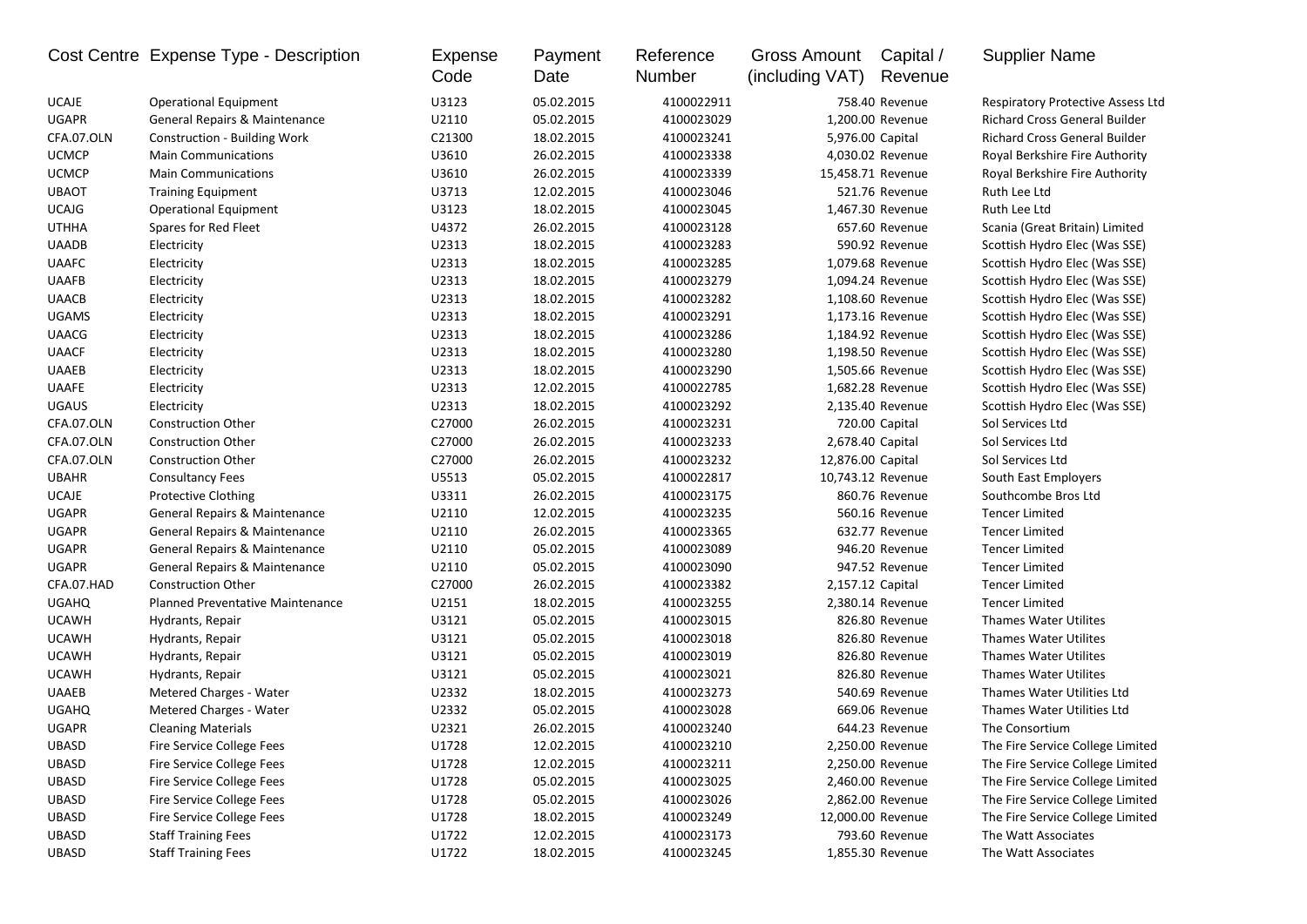|              | Cost Centre Expense Type - Description  | <b>Expense</b><br>Code | Payment<br>Date | Reference<br>Number | <b>Gross Amount</b><br>(including VAT) | Capital /<br>Revenue | <b>Supplier Name</b>                     |
|--------------|-----------------------------------------|------------------------|-----------------|---------------------|----------------------------------------|----------------------|------------------------------------------|
| <b>UCAJE</b> | <b>Operational Equipment</b>            | U3123                  | 05.02.2015      | 4100022911          |                                        | 758.40 Revenue       | <b>Respiratory Protective Assess Ltd</b> |
| <b>UGAPR</b> | General Repairs & Maintenance           | U2110                  | 05.02.2015      | 4100023029          |                                        | 1,200.00 Revenue     | <b>Richard Cross General Builder</b>     |
| CFA.07.OLN   | Construction - Building Work            | C21300                 | 18.02.2015      | 4100023241          | 5,976.00 Capital                       |                      | Richard Cross General Builder            |
| <b>UCMCP</b> | <b>Main Communications</b>              | U3610                  | 26.02.2015      | 4100023338          |                                        | 4,030.02 Revenue     | Royal Berkshire Fire Authority           |
| <b>UCMCP</b> | <b>Main Communications</b>              | U3610                  | 26.02.2015      | 4100023339          | 15,458.71 Revenue                      |                      | Royal Berkshire Fire Authority           |
| <b>UBAOT</b> | <b>Training Equipment</b>               | U3713                  | 12.02.2015      | 4100023046          |                                        | 521.76 Revenue       | Ruth Lee Ltd                             |
| <b>UCAJG</b> | <b>Operational Equipment</b>            | U3123                  | 18.02.2015      | 4100023045          |                                        | 1,467.30 Revenue     | Ruth Lee Ltd                             |
| <b>UTHHA</b> | Spares for Red Fleet                    | U4372                  | 26.02.2015      | 4100023128          |                                        | 657.60 Revenue       | Scania (Great Britain) Limited           |
| <b>UAADB</b> | Electricity                             | U2313                  | 18.02.2015      | 4100023283          |                                        | 590.92 Revenue       | Scottish Hydro Elec (Was SSE)            |
| <b>UAAFC</b> | Electricity                             | U2313                  | 18.02.2015      | 4100023285          |                                        | 1,079.68 Revenue     | Scottish Hydro Elec (Was SSE)            |
| <b>UAAFB</b> | Electricity                             | U2313                  | 18.02.2015      | 4100023279          |                                        | 1,094.24 Revenue     | Scottish Hydro Elec (Was SSE)            |
| <b>UAACB</b> | Electricity                             | U2313                  | 18.02.2015      | 4100023282          |                                        | 1,108.60 Revenue     | Scottish Hydro Elec (Was SSE)            |
| <b>UGAMS</b> | Electricity                             | U2313                  | 18.02.2015      | 4100023291          |                                        | 1,173.16 Revenue     | Scottish Hydro Elec (Was SSE)            |
| <b>UAACG</b> | Electricity                             | U2313                  | 18.02.2015      | 4100023286          |                                        | 1,184.92 Revenue     | Scottish Hydro Elec (Was SSE)            |
| <b>UAACF</b> | Electricity                             | U2313                  | 18.02.2015      | 4100023280          |                                        | 1,198.50 Revenue     | Scottish Hydro Elec (Was SSE)            |
| <b>UAAEB</b> | Electricity                             | U2313                  | 18.02.2015      | 4100023290          |                                        | 1,505.66 Revenue     | Scottish Hydro Elec (Was SSE)            |
| <b>UAAFE</b> | Electricity                             | U2313                  | 12.02.2015      | 4100022785          |                                        | 1,682.28 Revenue     | Scottish Hydro Elec (Was SSE)            |
| <b>UGAUS</b> | Electricity                             | U2313                  | 18.02.2015      | 4100023292          |                                        | 2,135.40 Revenue     | Scottish Hydro Elec (Was SSE)            |
| CFA.07.OLN   | <b>Construction Other</b>               | C27000                 | 26.02.2015      | 4100023231          |                                        | 720.00 Capital       | Sol Services Ltd                         |
| CFA.07.OLN   | <b>Construction Other</b>               | C27000                 | 26.02.2015      | 4100023233          | 2,678.40 Capital                       |                      | Sol Services Ltd                         |
| CFA.07.OLN   | <b>Construction Other</b>               | C27000                 | 26.02.2015      | 4100023232          | 12,876.00 Capital                      |                      | Sol Services Ltd                         |
| <b>UBAHR</b> | <b>Consultancy Fees</b>                 | U5513                  | 05.02.2015      | 4100022817          | 10,743.12 Revenue                      |                      | South East Employers                     |
| <b>UCAJE</b> | <b>Protective Clothing</b>              | U3311                  | 26.02.2015      | 4100023175          |                                        | 860.76 Revenue       | Southcombe Bros Ltd                      |
| <b>UGAPR</b> | General Repairs & Maintenance           | U2110                  | 12.02.2015      | 4100023235          |                                        | 560.16 Revenue       | <b>Tencer Limited</b>                    |
| <b>UGAPR</b> | General Repairs & Maintenance           | U2110                  | 26.02.2015      | 4100023365          |                                        | 632.77 Revenue       | <b>Tencer Limited</b>                    |
| <b>UGAPR</b> | General Repairs & Maintenance           | U2110                  | 05.02.2015      | 4100023089          |                                        | 946.20 Revenue       | <b>Tencer Limited</b>                    |
| <b>UGAPR</b> | General Repairs & Maintenance           | U2110                  | 05.02.2015      | 4100023090          |                                        | 947.52 Revenue       | <b>Tencer Limited</b>                    |
| CFA.07.HAD   | <b>Construction Other</b>               | C27000                 | 26.02.2015      | 4100023382          | 2,157.12 Capital                       |                      | <b>Tencer Limited</b>                    |
| <b>UGAHQ</b> | <b>Planned Preventative Maintenance</b> | U2151                  | 18.02.2015      | 4100023255          |                                        | 2,380.14 Revenue     | <b>Tencer Limited</b>                    |
| <b>UCAWH</b> | Hydrants, Repair                        | U3121                  | 05.02.2015      | 4100023015          |                                        | 826.80 Revenue       | Thames Water Utilites                    |
| <b>UCAWH</b> | Hydrants, Repair                        | U3121                  | 05.02.2015      | 4100023018          |                                        | 826.80 Revenue       | Thames Water Utilites                    |
| <b>UCAWH</b> | Hydrants, Repair                        | U3121                  | 05.02.2015      | 4100023019          |                                        | 826.80 Revenue       | Thames Water Utilites                    |
| <b>UCAWH</b> | Hydrants, Repair                        | U3121                  | 05.02.2015      | 4100023021          |                                        | 826.80 Revenue       | Thames Water Utilites                    |
| <b>UAAEB</b> | Metered Charges - Water                 | U2332                  | 18.02.2015      | 4100023273          |                                        | 540.69 Revenue       | Thames Water Utilities Ltd               |
| <b>UGAHQ</b> | Metered Charges - Water                 | U2332                  | 05.02.2015      | 4100023028          |                                        | 669.06 Revenue       | Thames Water Utilities Ltd               |
| <b>UGAPR</b> | <b>Cleaning Materials</b>               | U2321                  | 26.02.2015      | 4100023240          |                                        | 644.23 Revenue       | The Consortium                           |
| UBASD        | Fire Service College Fees               | U1728                  | 12.02.2015      | 4100023210          |                                        | 2,250.00 Revenue     | The Fire Service College Limited         |
| UBASD        | Fire Service College Fees               | U1728                  | 12.02.2015      | 4100023211          |                                        | 2,250.00 Revenue     | The Fire Service College Limited         |
| UBASD        | Fire Service College Fees               | U1728                  | 05.02.2015      | 4100023025          |                                        | 2,460.00 Revenue     | The Fire Service College Limited         |
| UBASD        | Fire Service College Fees               | U1728                  | 05.02.2015      | 4100023026          |                                        | 2,862.00 Revenue     | The Fire Service College Limited         |
| UBASD        | Fire Service College Fees               | U1728                  | 18.02.2015      | 4100023249          |                                        | 12,000.00 Revenue    | The Fire Service College Limited         |
| UBASD        | <b>Staff Training Fees</b>              | U1722                  | 12.02.2015      | 4100023173          |                                        | 793.60 Revenue       | The Watt Associates                      |
| UBASD        | <b>Staff Training Fees</b>              | U1722                  | 18.02.2015      | 4100023245          |                                        | 1,855.30 Revenue     | The Watt Associates                      |